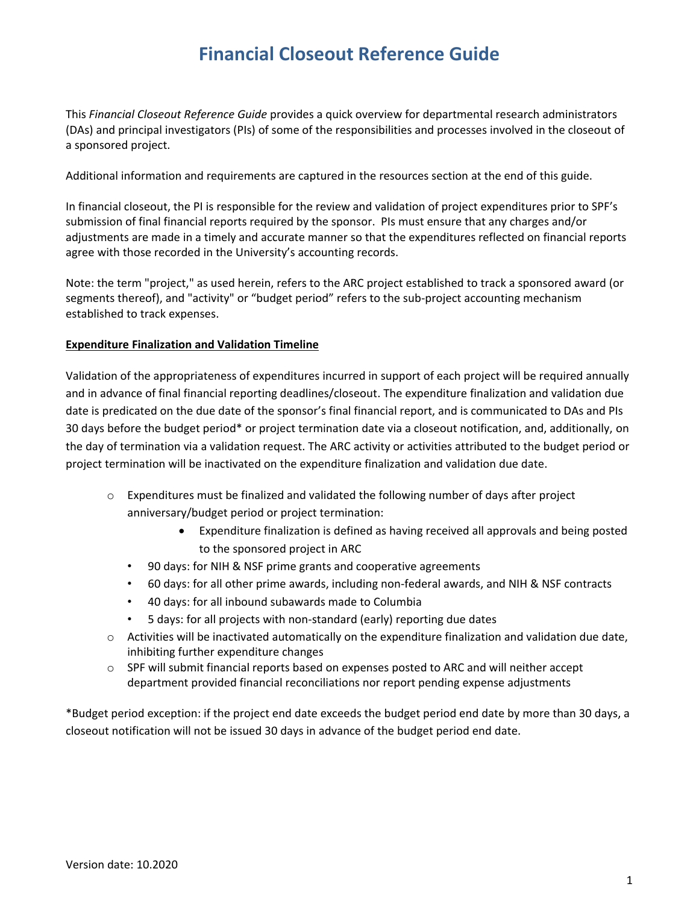# **Financial Closeout Reference Guide**

This *Financial Closeout Reference Guide* provides a quick overview for departmental research administrators (DAs) and principal investigators (PIs) of some of the responsibilities and processes involved in the closeout of a sponsored project.

Additional information and requirements are captured in the resources section at the end of this guide.

In financial closeout, the PI is responsible for the review and validation of project expenditures prior to SPF's submission of final financial reports required by the sponsor. PIs must ensure that any charges and/or adjustments are made in a timely and accurate manner so that the expenditures reflected on financial reports agree with those recorded in the University's accounting records.

Note: the term "project," as used herein, refers to the ARC project established to track a sponsored award (or segments thereof), and "activity" or "budget period" refers to the sub-project accounting mechanism established to track expenses.

### **Expenditure Finalization and Validation Timeline**

Validation of the appropriateness of expenditures incurred in support of each project will be required annually and in advance of final financial reporting deadlines/closeout. The expenditure finalization and validation due date is predicated on the due date of the sponsor's final financial report, and is communicated to DAs and PIs 30 days before the budget period\* or project termination date via a closeout notification, and, additionally, on the day of termination via a validation request. The ARC activity or activities attributed to the budget period or project termination will be inactivated on the expenditure finalization and validation due date.

- $\circ$  Expenditures must be finalized and validated the following number of days after project anniversary/budget period or project termination:
	- Expenditure finalization is defined as having received all approvals and being posted to the sponsored project in ARC
	- 90 days: for NIH & NSF prime grants and cooperative agreements
	- 60 days: for all other prime awards, including non-federal awards, and NIH & NSF contracts
	- 40 days: for all inbound subawards made to Columbia
	- 5 days: for all projects with non-standard (early) reporting due dates
- $\circ$  Activities will be inactivated automatically on the expenditure finalization and validation due date, inhibiting further expenditure changes
- o SPF will submit financial reports based on expenses posted to ARC and will neither accept department provided financial reconciliations nor report pending expense adjustments

\*Budget period exception: if the project end date exceeds the budget period end date by more than 30 days, a closeout notification will not be issued 30 days in advance of the budget period end date.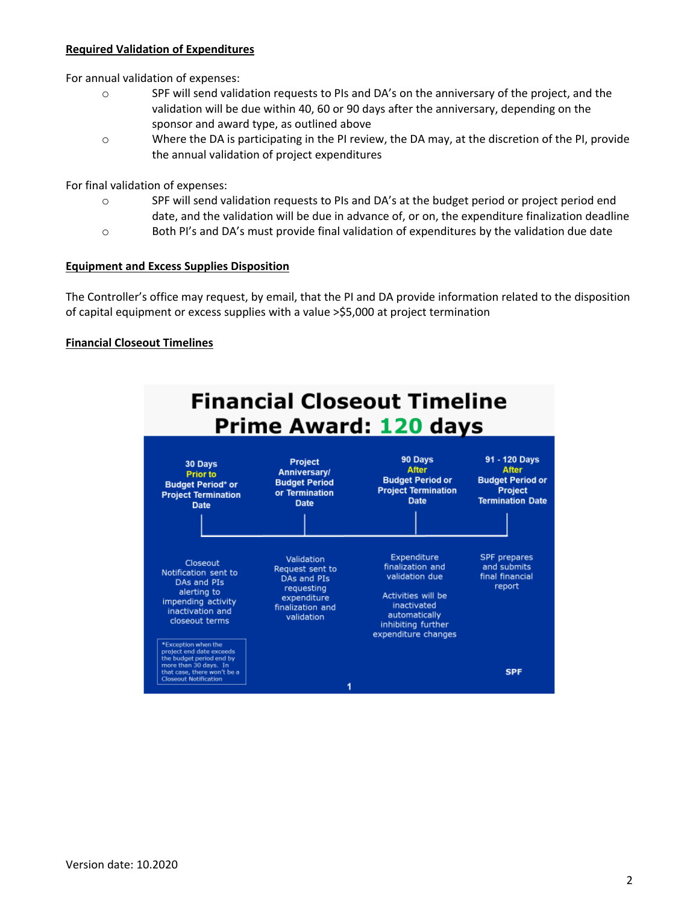### **Required Validation of Expenditures**

For annual validation of expenses:

- o SPF will send validation requests to PIs and DA's on the anniversary of the project, and the validation will be due within 40, 60 or 90 days after the anniversary, depending on the sponsor and award type, as outlined above
- o Where the DA is participating in the PI review, the DA may, at the discretion of the PI, provide the annual validation of project expenditures

For final validation of expenses:

- o SPF will send validation requests to PIs and DA's at the budget period or project period end date, and the validation will be due in advance of, or on, the expenditure finalization deadline
- o Both PI's and DA's must provide final validation of expenditures by the validation due date

#### **Equipment and Excess Supplies Disposition**

The Controller's office may request, by email, that the PI and DA provide information related to the disposition of capital equipment or excess supplies with a value >\$5,000 at project termination

#### **Financial Closeout Timelines**

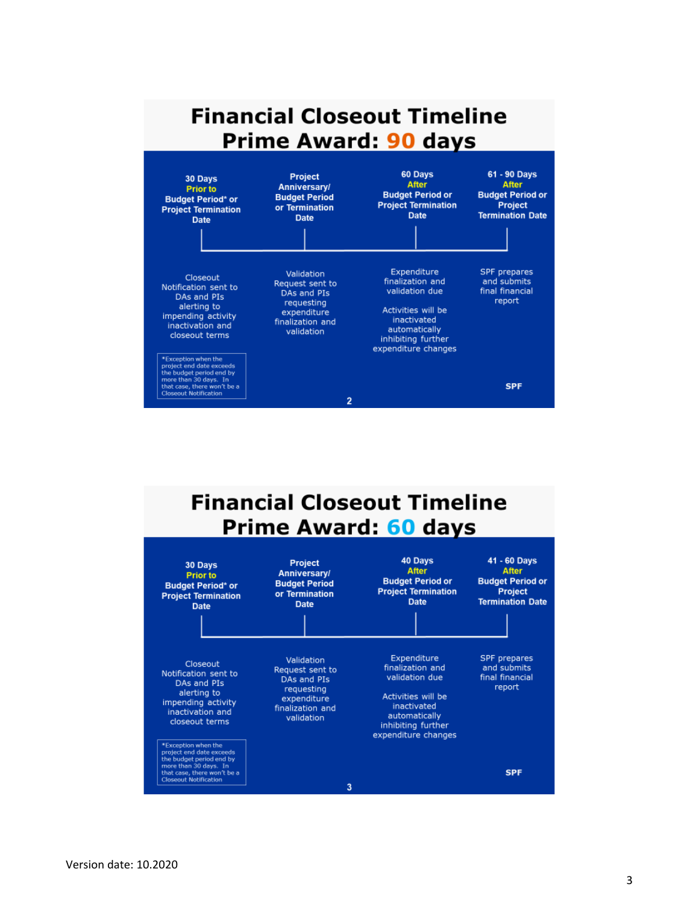

# **Financial Closeout Timeline** Prime Award: 60 days

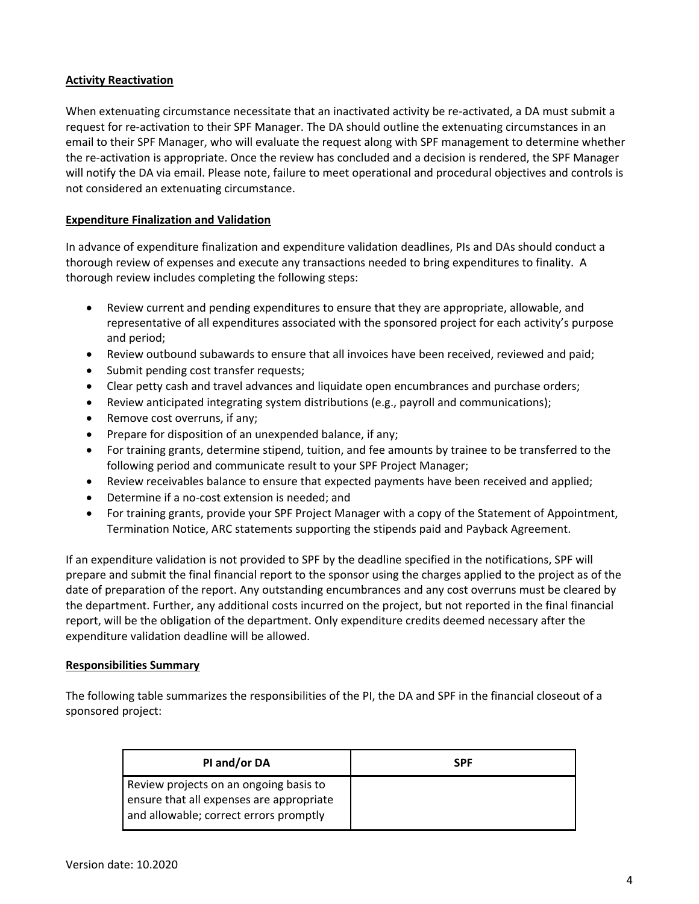# **Activity Reactivation**

When extenuating circumstance necessitate that an inactivated activity be re-activated, a DA must submit a request for re-activation to their SPF Manager. The DA should outline the extenuating circumstances in an email to their SPF Manager, who will evaluate the request along with SPF management to determine whether the re-activation is appropriate. Once the review has concluded and a decision is rendered, the SPF Manager will notify the DA via email. Please note, failure to meet operational and procedural objectives and controls is not considered an extenuating circumstance.

# **Expenditure Finalization and Validation**

In advance of expenditure finalization and expenditure validation deadlines, PIs and DAs should conduct a thorough review of expenses and execute any transactions needed to bring expenditures to finality. A thorough review includes completing the following steps:

- Review current and pending expenditures to ensure that they are appropriate, allowable, and representative of all expenditures associated with the sponsored project for each activity's purpose and period;
- Review outbound subawards to ensure that all invoices have been received, reviewed and paid;
- Submit pending cost transfer requests;
- Clear petty cash and travel advances and liquidate open encumbrances and purchase orders;
- Review anticipated integrating system distributions (e.g., payroll and communications);
- Remove cost overruns, if any;
- Prepare for disposition of an unexpended balance, if any;
- For training grants, determine stipend, tuition, and fee amounts by trainee to be transferred to the following period and communicate result to your SPF Project Manager;
- Review receivables balance to ensure that expected payments have been received and applied;
- Determine if a no-cost extension is needed; and
- For training grants, provide your SPF Project Manager with a copy of the Statement of Appointment, Termination Notice, ARC statements supporting the stipends paid and Payback Agreement.

If an expenditure validation is not provided to SPF by the deadline specified in the notifications, SPF will prepare and submit the final financial report to the sponsor using the charges applied to the project as of the date of preparation of the report. Any outstanding encumbrances and any cost overruns must be cleared by the department. Further, any additional costs incurred on the project, but not reported in the final financial report, will be the obligation of the department. Only expenditure credits deemed necessary after the expenditure validation deadline will be allowed.

### **Responsibilities Summary**

The following table summarizes the responsibilities of the PI, the DA and SPF in the financial closeout of a sponsored project:

| PI and/or DA                                                                                                                 | <b>SPF</b> |
|------------------------------------------------------------------------------------------------------------------------------|------------|
| Review projects on an ongoing basis to<br>ensure that all expenses are appropriate<br>and allowable; correct errors promptly |            |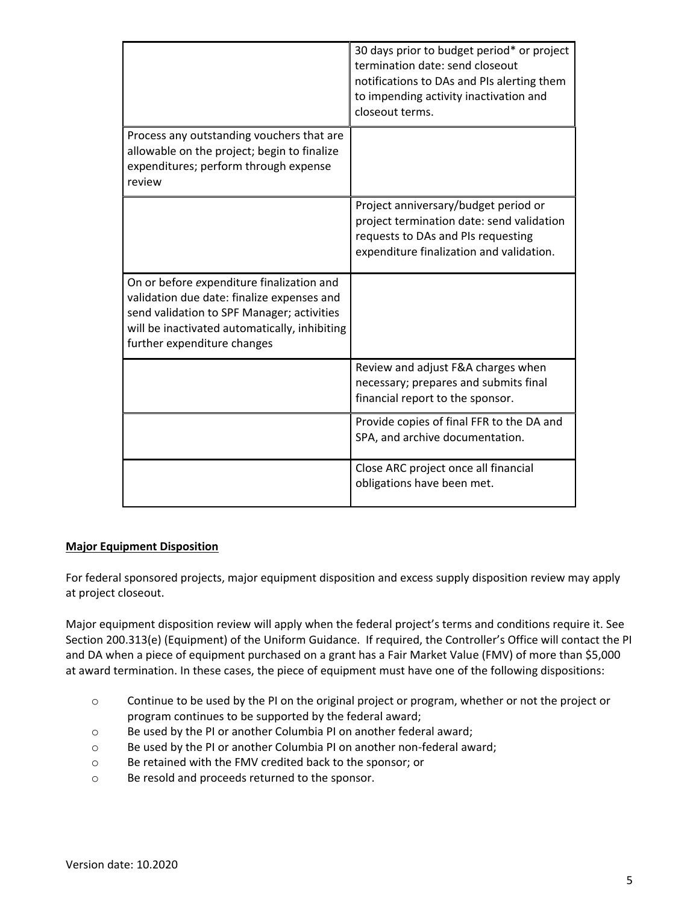|                                                                                                                                                                                                                       | 30 days prior to budget period* or project<br>termination date: send closeout<br>notifications to DAs and PIs alerting them<br>to impending activity inactivation and<br>closeout terms. |
|-----------------------------------------------------------------------------------------------------------------------------------------------------------------------------------------------------------------------|------------------------------------------------------------------------------------------------------------------------------------------------------------------------------------------|
| Process any outstanding vouchers that are<br>allowable on the project; begin to finalize<br>expenditures; perform through expense<br>review                                                                           |                                                                                                                                                                                          |
|                                                                                                                                                                                                                       | Project anniversary/budget period or<br>project termination date: send validation<br>requests to DAs and PIs requesting<br>expenditure finalization and validation.                      |
| On or before expenditure finalization and<br>validation due date: finalize expenses and<br>send validation to SPF Manager; activities<br>will be inactivated automatically, inhibiting<br>further expenditure changes |                                                                                                                                                                                          |
|                                                                                                                                                                                                                       | Review and adjust F&A charges when<br>necessary; prepares and submits final<br>financial report to the sponsor.                                                                          |
|                                                                                                                                                                                                                       | Provide copies of final FFR to the DA and<br>SPA, and archive documentation.                                                                                                             |
|                                                                                                                                                                                                                       | Close ARC project once all financial<br>obligations have been met.                                                                                                                       |

### **Major Equipment Disposition**

For federal sponsored projects, major equipment disposition and excess supply disposition review may apply at project closeout.

Major equipment disposition review will apply when the federal project's terms and conditions require it. See Section 200.313(e) (Equipment) of the Uniform Guidance. If required, the Controller's Office will contact the PI and DA when a piece of equipment purchased on a grant has a Fair Market Value (FMV) of more than \$5,000 at award termination. In these cases, the piece of equipment must have one of the following dispositions:

- o Continue to be used by the PI on the original project or program, whether or not the project or program continues to be supported by the federal award;
- o Be used by the PI or another Columbia PI on another federal award;
- o Be used by the PI or another Columbia PI on another non-federal award;
- o Be retained with the FMV credited back to the sponsor; or
- o Be resold and proceeds returned to the sponsor.